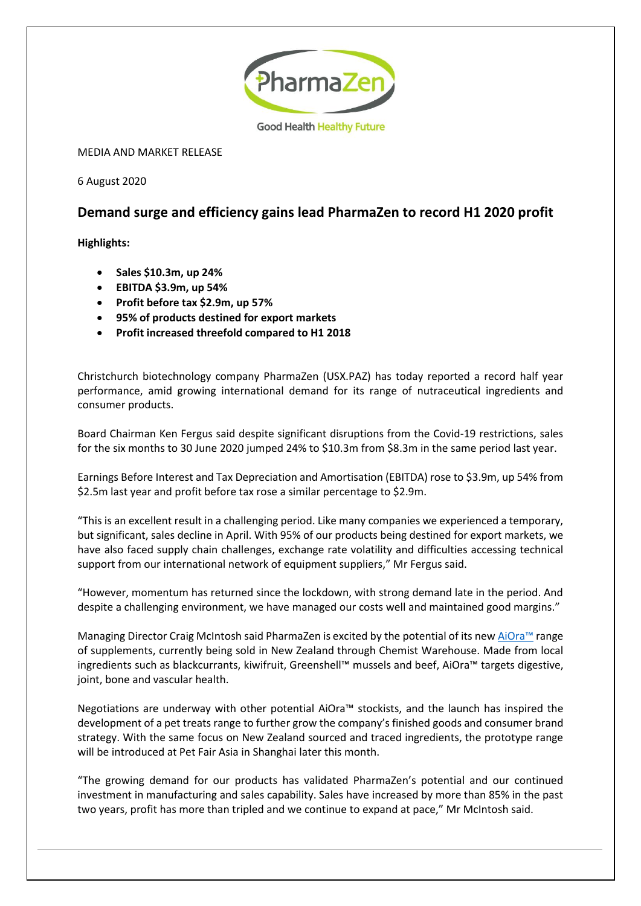

MEDIA AND MARKET RELEASE

6 August 2020

## **Demand surge and efficiency gains lead PharmaZen to record H1 2020 profit**

**Highlights:**

- **Sales \$10.3m, up 24%**
- **EBITDA \$3.9m, up 54%**
- **Profit before tax \$2.9m, up 57%**
- **95% of products destined for export markets**
- **Profit increased threefold compared to H1 2018**

Christchurch biotechnology company PharmaZen (USX.PAZ) has today reported a record half year performance, amid growing international demand for its range of nutraceutical ingredients and consumer products.

Board Chairman Ken Fergus said despite significant disruptions from the Covid-19 restrictions, sales for the six months to 30 June 2020 jumped 24% to \$10.3m from \$8.3m in the same period last year.

Earnings Before Interest and Tax Depreciation and Amortisation (EBITDA) rose to \$3.9m, up 54% from \$2.5m last year and profit before tax rose a similar percentage to \$2.9m.

"This is an excellent result in a challenging period. Like many companies we experienced a temporary, but significant, sales decline in April. With 95% of our products being destined for export markets, we have also faced supply chain challenges, exchange rate volatility and difficulties accessing technical support from our international network of equipment suppliers," Mr Fergus said.

"However, momentum has returned since the lockdown, with strong demand late in the period. And despite a challenging environment, we have managed our costs well and maintained good margins."

Managing Director Craig McIntosh said PharmaZen is excited by the potential of its ne[w AiOra](https://www.aioranz.com/)™ range of supplements, currently being sold in New Zealand through Chemist Warehouse. Made from local ingredients such as blackcurrants, kiwifruit, Greenshell™ mussels and beef, AiOra™ targets digestive, joint, bone and vascular health.

Negotiations are underway with other potential AiOra™ stockists, and the launch has inspired the development of a pet treats range to further grow the company's finished goods and consumer brand strategy. With the same focus on New Zealand sourced and traced ingredients, the prototype range will be introduced at Pet Fair Asia in Shanghai later this month.

"The growing demand for our products has validated PharmaZen's potential and our continued investment in manufacturing and sales capability. Sales have increased by more than 85% in the past two years, profit has more than tripled and we continue to expand at pace," Mr McIntosh said.